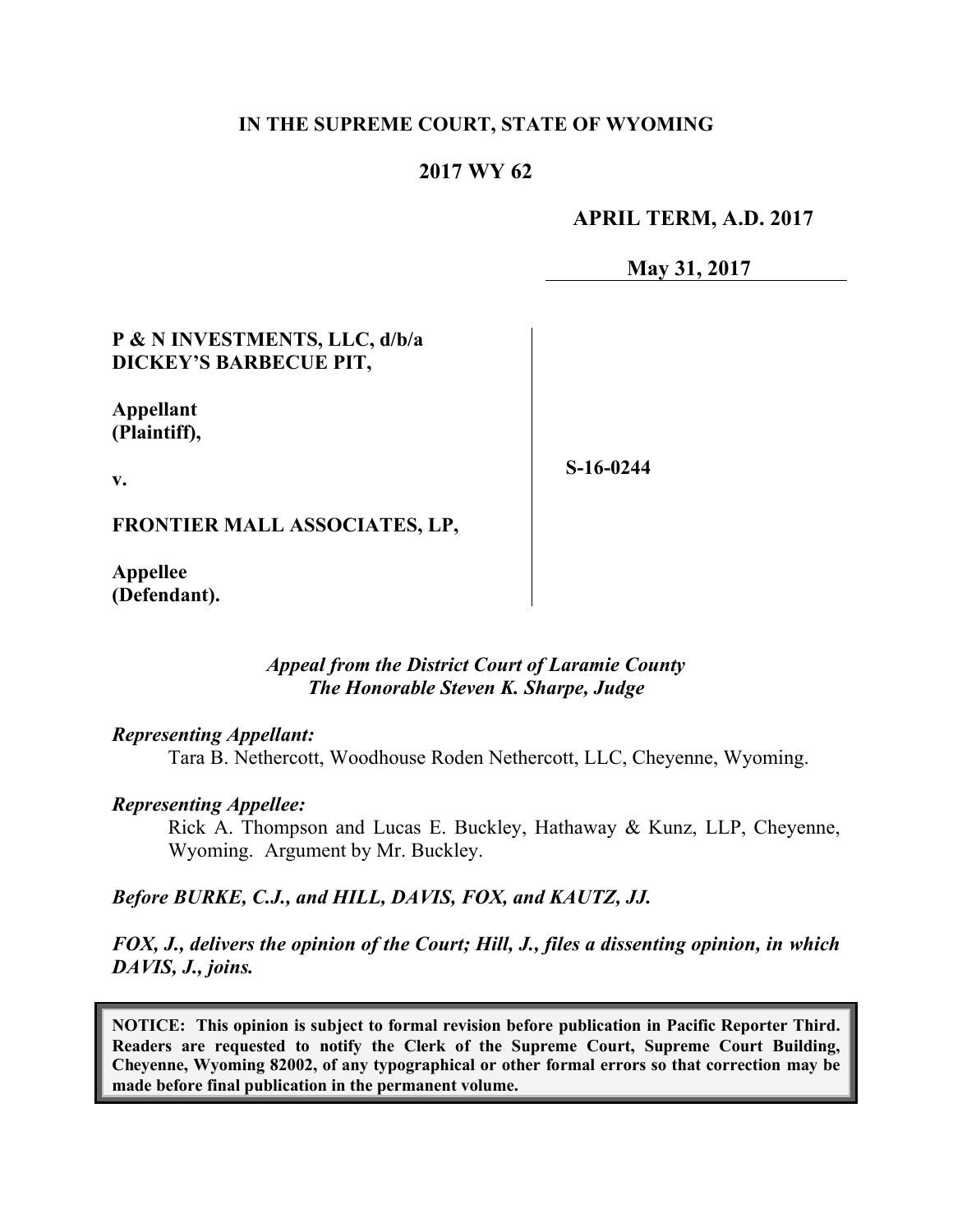#### **IN THE SUPREME COURT, STATE OF WYOMING**

## **2017 WY 62**

### **APRIL TERM, A.D. 2017**

**May 31, 2017**

## **P & N INVESTMENTS, LLC, d/b/a DICKEY'S BARBECUE PIT,**

## **Appellant (Plaintiff),**

**v.**

**S-16-0244**

**FRONTIER MALL ASSOCIATES, LP,**

**Appellee (Defendant).**

# *Appeal from the District Court of Laramie County The Honorable Steven K. Sharpe, Judge*

#### *Representing Appellant:*

Tara B. Nethercott, Woodhouse Roden Nethercott, LLC, Cheyenne, Wyoming.

#### *Representing Appellee:*

Rick A. Thompson and Lucas E. Buckley, Hathaway & Kunz, LLP, Cheyenne, Wyoming. Argument by Mr. Buckley.

#### *Before BURKE, C.J., and HILL, DAVIS, FOX, and KAUTZ, JJ.*

*FOX, J., delivers the opinion of the Court; Hill, J., files a dissenting opinion, in which DAVIS, J., joins.*

**NOTICE: This opinion is subject to formal revision before publication in Pacific Reporter Third. Readers are requested to notify the Clerk of the Supreme Court, Supreme Court Building, Cheyenne, Wyoming 82002, of any typographical or other formal errors so that correction may be made before final publication in the permanent volume.**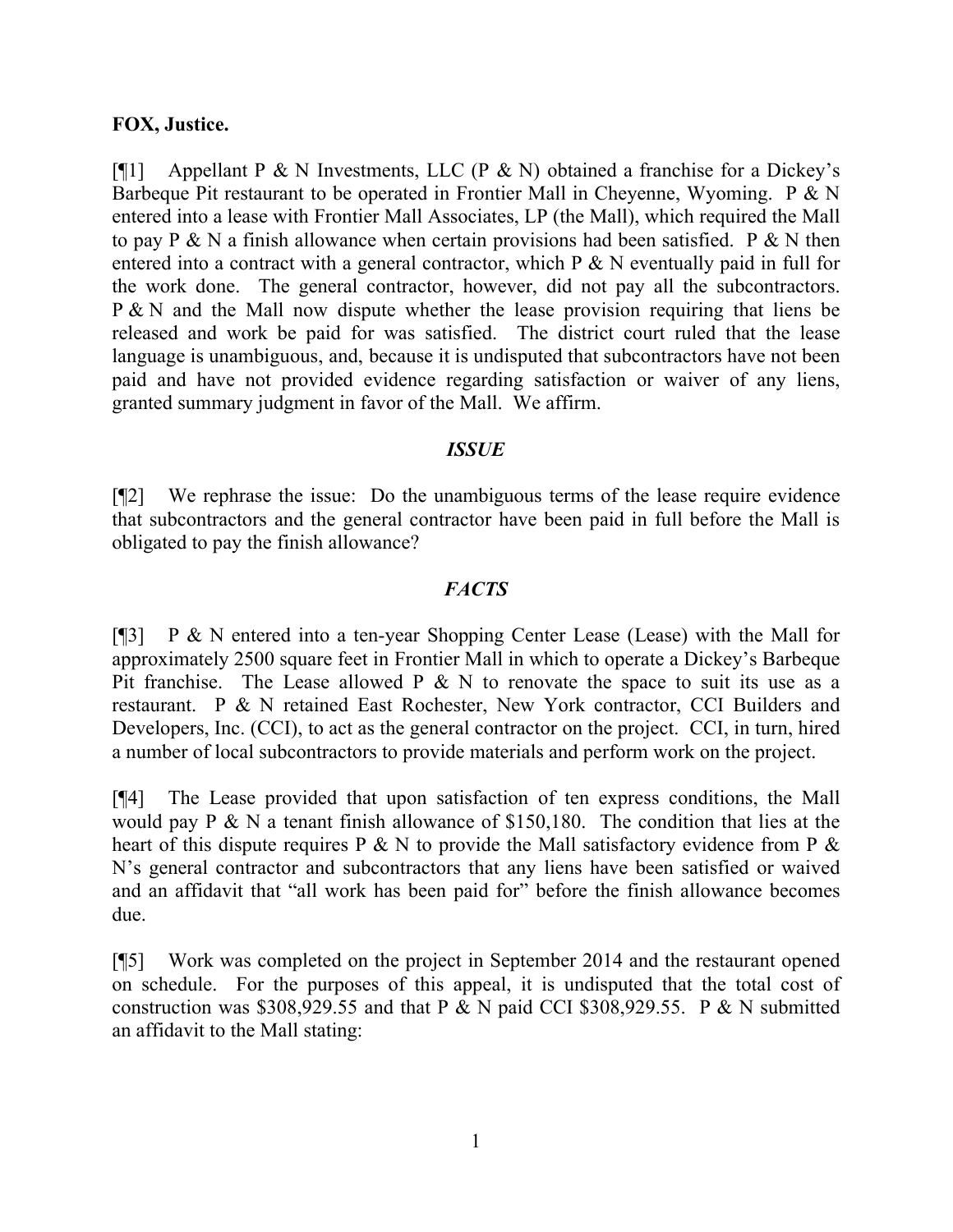### **FOX, Justice.**

[ $[$ [1] Appellant P & N Investments, LLC (P & N) obtained a franchise for a Dickey's Barbeque Pit restaurant to be operated in Frontier Mall in Cheyenne, Wyoming. P & N entered into a lease with Frontier Mall Associates, LP (the Mall), which required the Mall to pay P & N a finish allowance when certain provisions had been satisfied. P & N then entered into a contract with a general contractor, which  $P \& N$  eventually paid in full for the work done. The general contractor, however, did not pay all the subcontractors. P & N and the Mall now dispute whether the lease provision requiring that liens be released and work be paid for was satisfied. The district court ruled that the lease language is unambiguous, and, because it is undisputed that subcontractors have not been paid and have not provided evidence regarding satisfaction or waiver of any liens, granted summary judgment in favor of the Mall. We affirm.

#### *ISSUE*

[¶2] We rephrase the issue: Do the unambiguous terms of the lease require evidence that subcontractors and the general contractor have been paid in full before the Mall is obligated to pay the finish allowance?

# *FACTS*

[¶3] P & N entered into a ten-year Shopping Center Lease (Lease) with the Mall for approximately 2500 square feet in Frontier Mall in which to operate a Dickey's Barbeque Pit franchise. The Lease allowed  $P \& N$  to renovate the space to suit its use as a restaurant. P & N retained East Rochester, New York contractor, CCI Builders and Developers, Inc. (CCI), to act as the general contractor on the project. CCI, in turn, hired a number of local subcontractors to provide materials and perform work on the project.

[¶4] The Lease provided that upon satisfaction of ten express conditions, the Mall would pay P & N a tenant finish allowance of \$150,180. The condition that lies at the heart of this dispute requires P  $\&$  N to provide the Mall satisfactory evidence from P  $\&$ N's general contractor and subcontractors that any liens have been satisfied or waived and an affidavit that "all work has been paid for" before the finish allowance becomes due.

[¶5] Work was completed on the project in September 2014 and the restaurant opened on schedule. For the purposes of this appeal, it is undisputed that the total cost of construction was \$308,929.55 and that P & N paid CCI \$308,929.55. P & N submitted an affidavit to the Mall stating: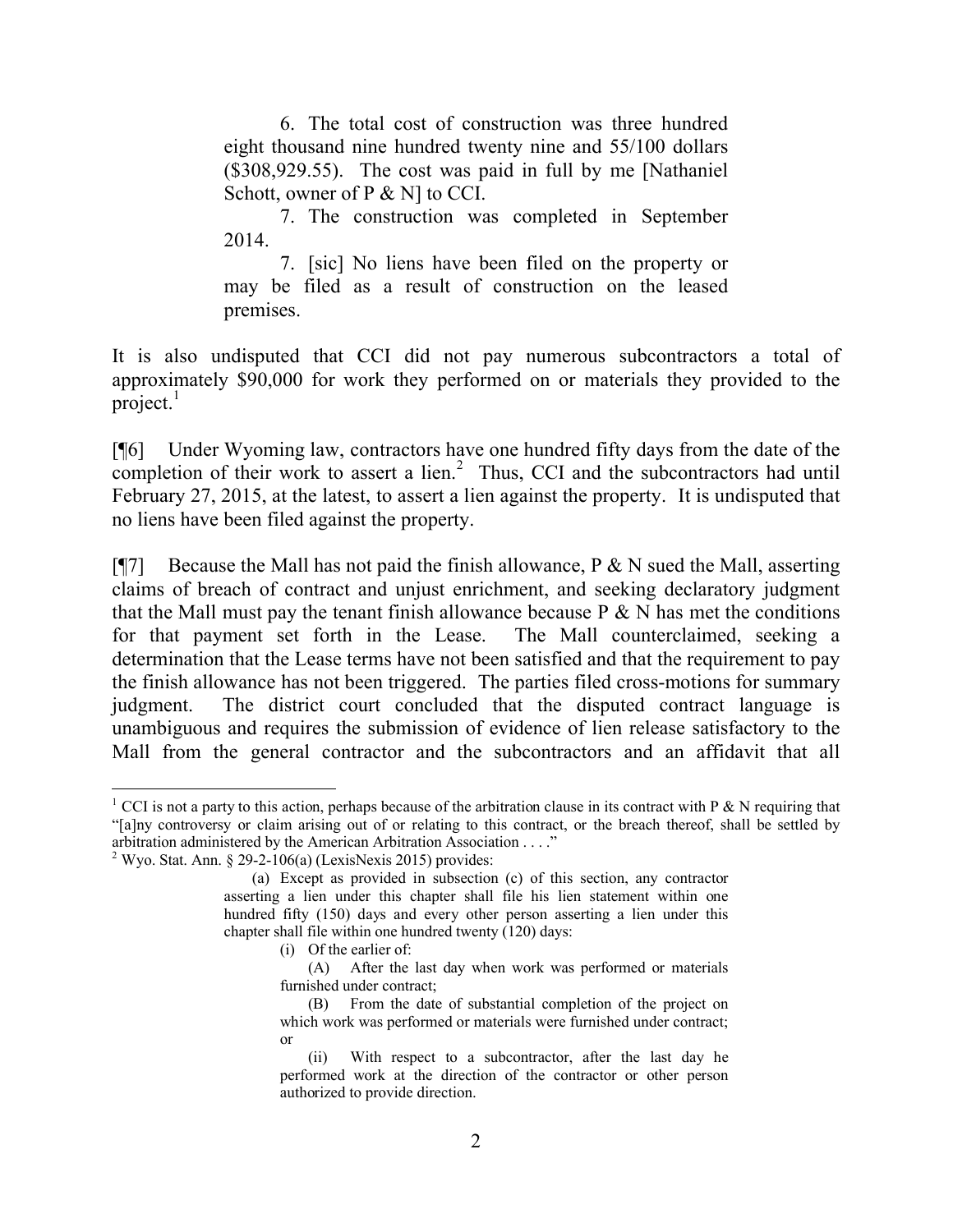6. The total cost of construction was three hundred eight thousand nine hundred twenty nine and 55/100 dollars (\$308,929.55). The cost was paid in full by me [Nathaniel Schott, owner of P & N] to CCI.

7. The construction was completed in September 2014.

7. [sic] No liens have been filed on the property or may be filed as a result of construction on the leased premises.

It is also undisputed that CCI did not pay numerous subcontractors a total of approximately \$90,000 for work they performed on or materials they provided to the project. $<sup>1</sup>$ </sup>

[¶6] Under Wyoming law, contractors have one hundred fifty days from the date of the completion of their work to assert a lien. $2$  Thus, CCI and the subcontractors had until February 27, 2015, at the latest, to assert a lien against the property. It is undisputed that no liens have been filed against the property.

[ $[$ ] Because the Mall has not paid the finish allowance, P & N sued the Mall, asserting claims of breach of contract and unjust enrichment, and seeking declaratory judgment that the Mall must pay the tenant finish allowance because  $P \& N$  has met the conditions for that payment set forth in the Lease. The Mall counterclaimed, seeking a determination that the Lease terms have not been satisfied and that the requirement to pay the finish allowance has not been triggered. The parties filed cross-motions for summary judgment. The district court concluded that the disputed contract language is unambiguous and requires the submission of evidence of lien release satisfactory to the Mall from the general contractor and the subcontractors and an affidavit that all

(i) Of the earlier of:

 <sup>1</sup> CCI is not a party to this action, perhaps because of the arbitration clause in its contract with P & N requiring that "[a]ny controversy or claim arising out of or relating to this contract, or the breach thereof, shall be settled by arbitration administered by the American Arbitration Association . . . ."

 $2$  Wyo. Stat. Ann. § 29-2-106(a) (LexisNexis 2015) provides:

<sup>(</sup>a) Except as provided in subsection (c) of this section, any contractor asserting a lien under this chapter shall file his lien statement within one hundred fifty (150) days and every other person asserting a lien under this chapter shall file within one hundred twenty (120) days:

<sup>(</sup>A) After the last day when work was performed or materials furnished under contract;

<sup>(</sup>B) From the date of substantial completion of the project on which work was performed or materials were furnished under contract; or

<sup>(</sup>ii) With respect to a subcontractor, after the last day he performed work at the direction of the contractor or other person authorized to provide direction.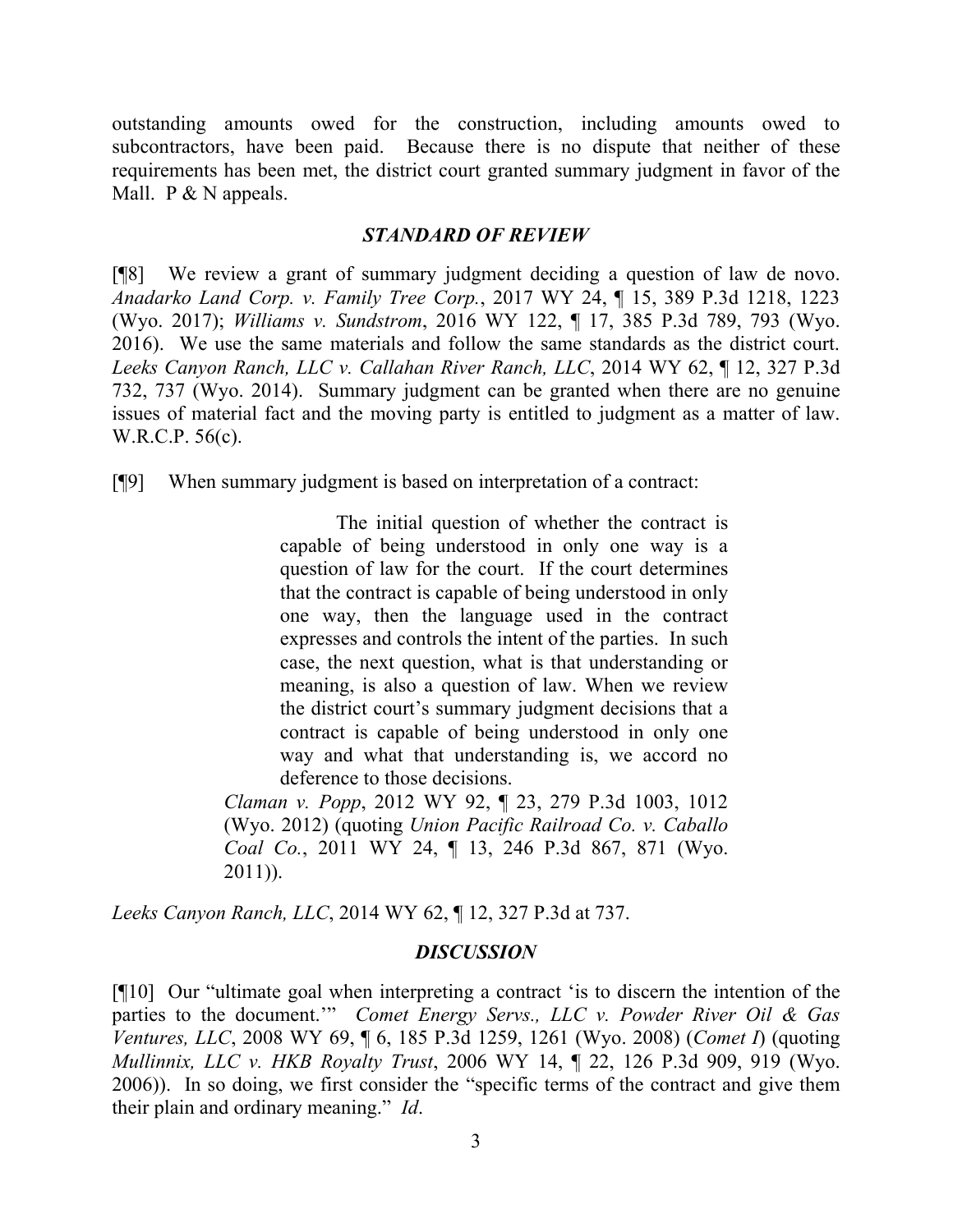outstanding amounts owed for the construction, including amounts owed to subcontractors, have been paid. Because there is no dispute that neither of these requirements has been met, the district court granted summary judgment in favor of the Mall.  $P \& N$  appeals.

#### *STANDARD OF REVIEW*

[¶8] We review a grant of summary judgment deciding a question of law de novo. *Anadarko Land Corp. v. Family Tree Corp.*, 2017 WY 24, ¶ 15, 389 P.3d 1218, 1223 (Wyo. 2017); *Williams v. Sundstrom*, 2016 WY 122, ¶ 17, 385 P.3d 789, 793 (Wyo. 2016). We use the same materials and follow the same standards as the district court. *Leeks Canyon Ranch, LLC v. Callahan River Ranch, LLC*, 2014 WY 62, ¶ 12, 327 P.3d 732, 737 (Wyo. 2014). Summary judgment can be granted when there are no genuine issues of material fact and the moving party is entitled to judgment as a matter of law. W.R.C.P. 56(c).

[¶9] When summary judgment is based on interpretation of a contract:

The initial question of whether the contract is capable of being understood in only one way is a question of law for the court. If the court determines that the contract is capable of being understood in only one way, then the language used in the contract expresses and controls the intent of the parties. In such case, the next question, what is that understanding or meaning, is also a question of law. When we review the district court's summary judgment decisions that a contract is capable of being understood in only one way and what that understanding is, we accord no deference to those decisions.

*Claman v. Popp*, 2012 WY 92, ¶ 23, 279 P.3d 1003, 1012 (Wyo. 2012) (quoting *Union Pacific Railroad Co. v. Caballo Coal Co.*, 2011 WY 24, ¶ 13, 246 P.3d 867, 871 (Wyo. 2011)).

*Leeks Canyon Ranch, LLC*, 2014 WY 62, ¶ 12, 327 P.3d at 737.

#### *DISCUSSION*

[¶10] Our "ultimate goal when interpreting a contract 'is to discern the intention of the parties to the document.'" *Comet Energy Servs., LLC v. Powder River Oil & Gas Ventures, LLC*, 2008 WY 69, ¶ 6, 185 P.3d 1259, 1261 (Wyo. 2008) (*Comet I*) (quoting *Mullinnix, LLC v. HKB Royalty Trust*, 2006 WY 14, ¶ 22, 126 P.3d 909, 919 (Wyo. 2006)). In so doing, we first consider the "specific terms of the contract and give them their plain and ordinary meaning." *Id*.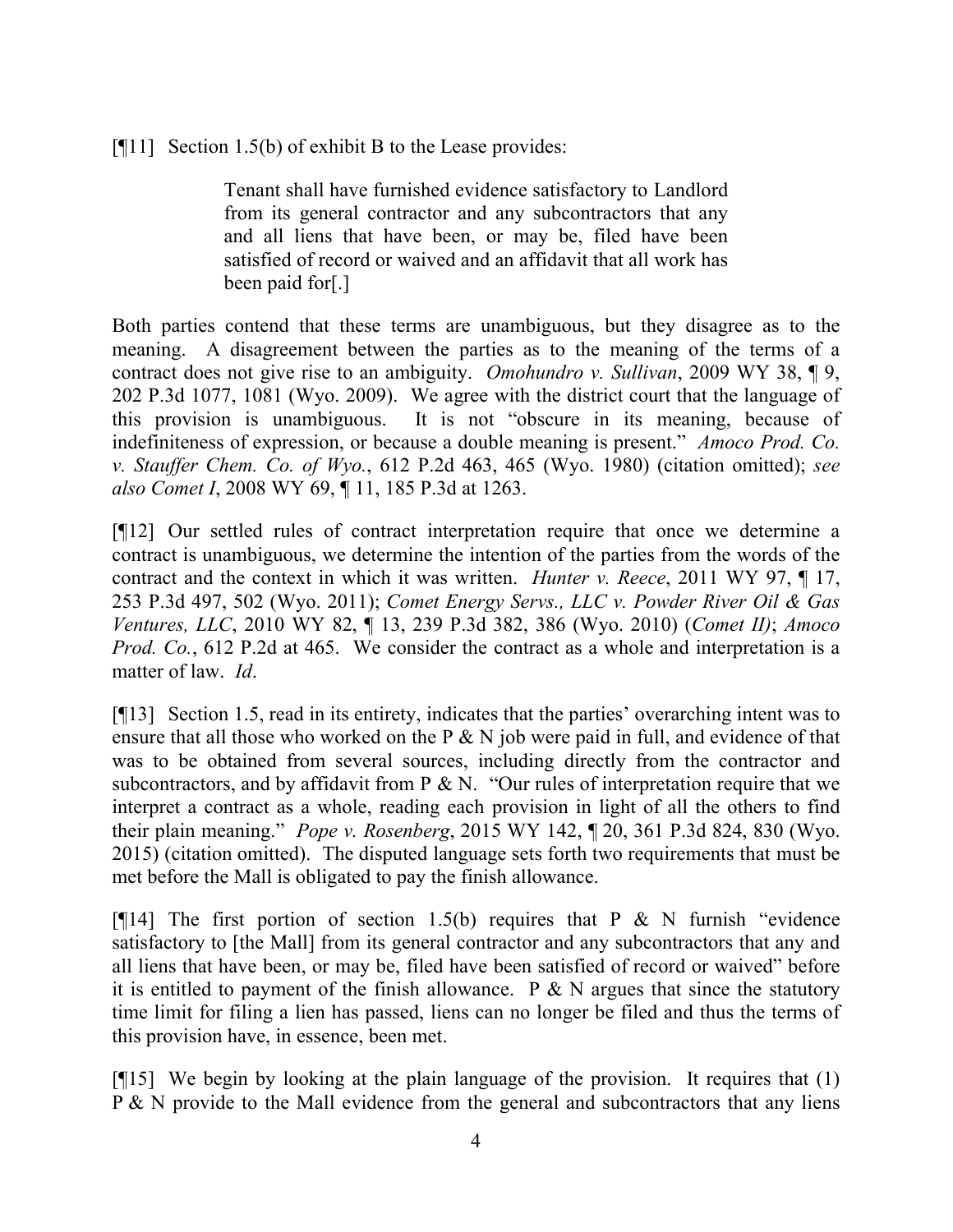$[$ [[11] Section 1.5(b) of exhibit B to the Lease provides:

Tenant shall have furnished evidence satisfactory to Landlord from its general contractor and any subcontractors that any and all liens that have been, or may be, filed have been satisfied of record or waived and an affidavit that all work has been paid for[.]

Both parties contend that these terms are unambiguous, but they disagree as to the meaning. A disagreement between the parties as to the meaning of the terms of a contract does not give rise to an ambiguity. *Omohundro v. Sullivan*, 2009 WY 38, ¶ 9, 202 P.3d 1077, 1081 (Wyo. 2009). We agree with the district court that the language of this provision is unambiguous. It is not "obscure in its meaning, because of indefiniteness of expression, or because a double meaning is present." *Amoco Prod. Co. v. Stauffer Chem. Co. of Wyo.*, 612 P.2d 463, 465 (Wyo. 1980) (citation omitted); *see also Comet I*, 2008 WY 69, ¶ 11, 185 P.3d at 1263.

[¶12] Our settled rules of contract interpretation require that once we determine a contract is unambiguous, we determine the intention of the parties from the words of the contract and the context in which it was written. *Hunter v. Reece*, 2011 WY 97, ¶ 17, 253 P.3d 497, 502 (Wyo. 2011); *Comet Energy Servs., LLC v. Powder River Oil & Gas Ventures, LLC*, 2010 WY 82, ¶ 13, 239 P.3d 382, 386 (Wyo. 2010) (*Comet II)*; *Amoco Prod. Co.*, 612 P.2d at 465. We consider the contract as a whole and interpretation is a matter of law. *Id*.

[¶13] Section 1.5, read in its entirety, indicates that the parties' overarching intent was to ensure that all those who worked on the P & N job were paid in full, and evidence of that was to be obtained from several sources, including directly from the contractor and subcontractors, and by affidavit from  $P \& N$ . "Our rules of interpretation require that we interpret a contract as a whole, reading each provision in light of all the others to find their plain meaning." *Pope v. Rosenberg*, 2015 WY 142, ¶ 20, 361 P.3d 824, 830 (Wyo. 2015) (citation omitted). The disputed language sets forth two requirements that must be met before the Mall is obligated to pay the finish allowance.

[ $[14]$ ] The first portion of section 1.5(b) requires that P & N furnish "evidence satisfactory to [the Mall] from its general contractor and any subcontractors that any and all liens that have been, or may be, filed have been satisfied of record or waived" before it is entitled to payment of the finish allowance. P  $\&$  N argues that since the statutory time limit for filing a lien has passed, liens can no longer be filed and thus the terms of this provision have, in essence, been met.

[¶15] We begin by looking at the plain language of the provision. It requires that (1) P & N provide to the Mall evidence from the general and subcontractors that any liens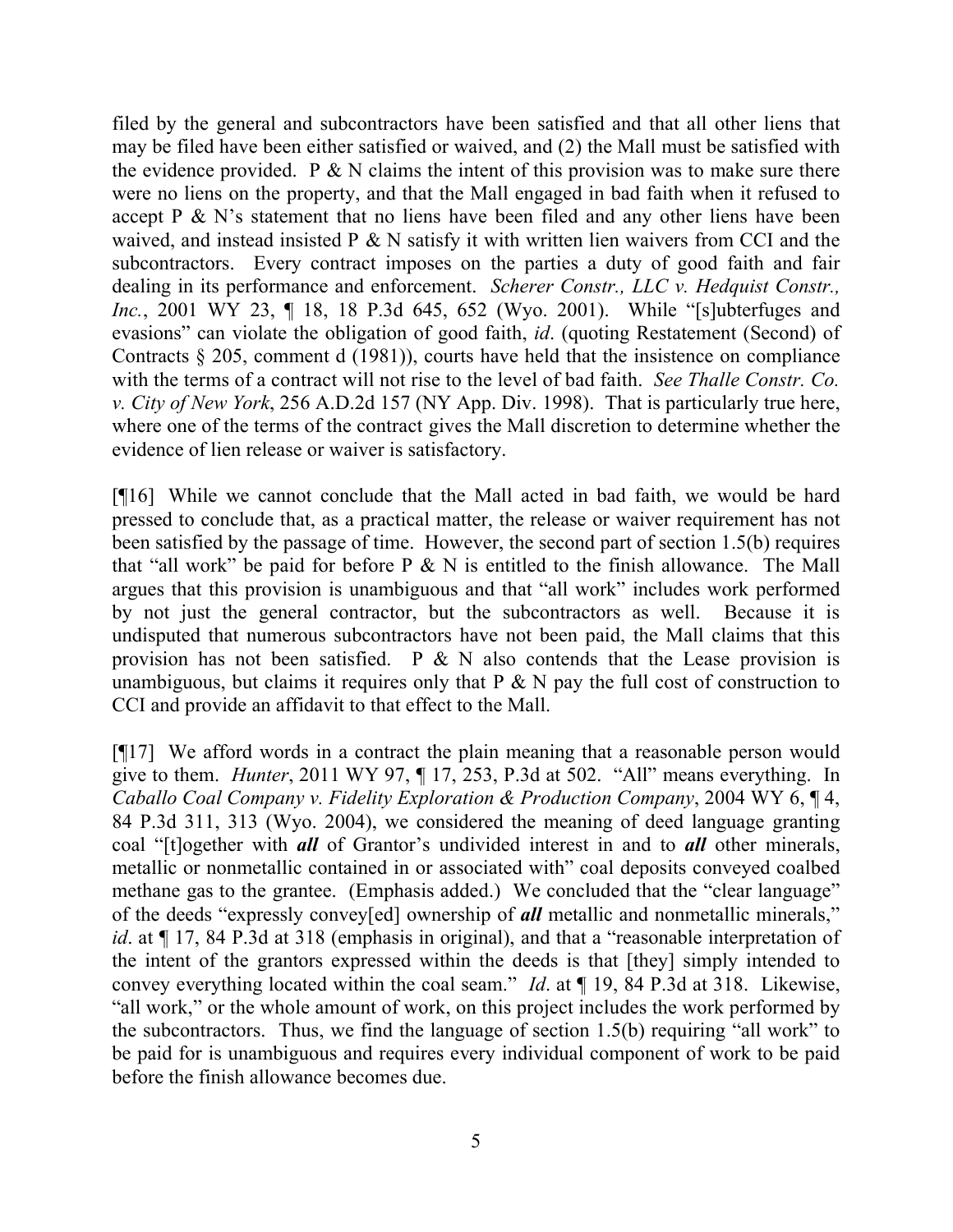filed by the general and subcontractors have been satisfied and that all other liens that may be filed have been either satisfied or waived, and (2) the Mall must be satisfied with the evidence provided. P  $\&$  N claims the intent of this provision was to make sure there were no liens on the property, and that the Mall engaged in bad faith when it refused to accept P & N's statement that no liens have been filed and any other liens have been waived, and instead insisted P & N satisfy it with written lien waivers from CCI and the subcontractors. Every contract imposes on the parties a duty of good faith and fair dealing in its performance and enforcement. *Scherer Constr., LLC v. Hedquist Constr., Inc.*, 2001 WY 23, 1 18, 18 P.3d 645, 652 (Wyo. 2001). While "[s]ubterfuges and evasions" can violate the obligation of good faith, *id*. (quoting Restatement (Second) of Contracts § 205, comment d (1981)), courts have held that the insistence on compliance with the terms of a contract will not rise to the level of bad faith. *See Thalle Constr. Co. v. City of New York*, 256 A.D.2d 157 (NY App. Div. 1998). That is particularly true here, where one of the terms of the contract gives the Mall discretion to determine whether the evidence of lien release or waiver is satisfactory.

[¶16] While we cannot conclude that the Mall acted in bad faith, we would be hard pressed to conclude that, as a practical matter, the release or waiver requirement has not been satisfied by the passage of time. However, the second part of section 1.5(b) requires that "all work" be paid for before  $P \& N$  is entitled to the finish allowance. The Mall argues that this provision is unambiguous and that "all work" includes work performed by not just the general contractor, but the subcontractors as well. Because it is undisputed that numerous subcontractors have not been paid, the Mall claims that this provision has not been satisfied.  $P \& N$  also contends that the Lease provision is unambiguous, but claims it requires only that  $P \& N$  pay the full cost of construction to CCI and provide an affidavit to that effect to the Mall.

[¶17] We afford words in a contract the plain meaning that a reasonable person would give to them. *Hunter*, 2011 WY 97, ¶ 17, 253, P.3d at 502. "All" means everything. In *Caballo Coal Company v. Fidelity Exploration & Production Company*, 2004 WY 6, ¶ 4, 84 P.3d 311, 313 (Wyo. 2004), we considered the meaning of deed language granting coal "[t]ogether with *all* of Grantor's undivided interest in and to *all* other minerals, metallic or nonmetallic contained in or associated with" coal deposits conveyed coalbed methane gas to the grantee. (Emphasis added.) We concluded that the "clear language" of the deeds "expressly convey[ed] ownership of *all* metallic and nonmetallic minerals," *id*. at  $\P$  17, 84 P.3d at 318 (emphasis in original), and that a "reasonable interpretation of the intent of the grantors expressed within the deeds is that [they] simply intended to convey everything located within the coal seam." *Id*. at ¶ 19, 84 P.3d at 318. Likewise, "all work," or the whole amount of work, on this project includes the work performed by the subcontractors. Thus, we find the language of section 1.5(b) requiring "all work" to be paid for is unambiguous and requires every individual component of work to be paid before the finish allowance becomes due.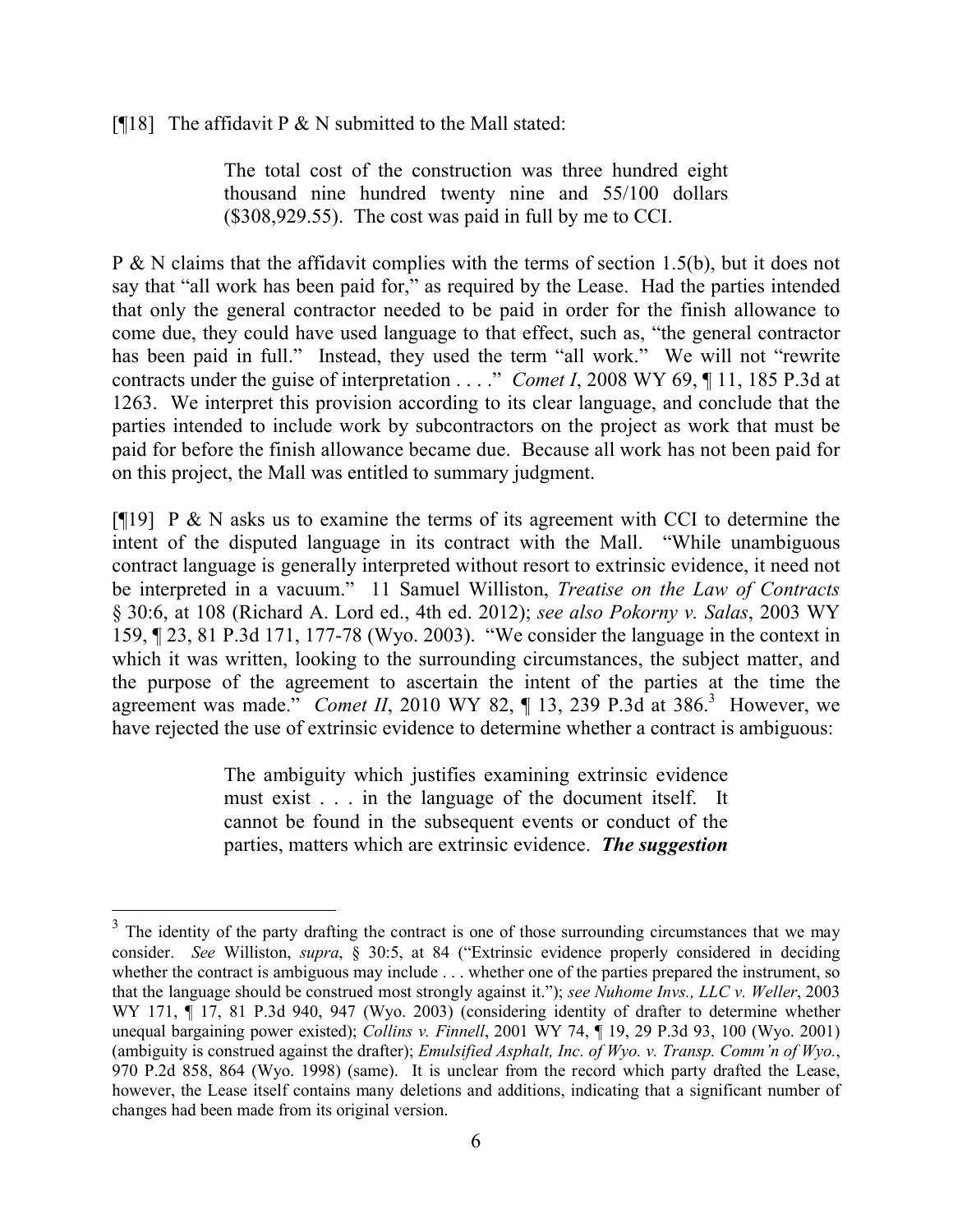[ $[$ [18] The affidavit P & N submitted to the Mall stated:

The total cost of the construction was three hundred eight thousand nine hundred twenty nine and 55/100 dollars (\$308,929.55). The cost was paid in full by me to CCI.

P & N claims that the affidavit complies with the terms of section 1.5(b), but it does not say that "all work has been paid for," as required by the Lease. Had the parties intended that only the general contractor needed to be paid in order for the finish allowance to come due, they could have used language to that effect, such as, "the general contractor has been paid in full." Instead, they used the term "all work." We will not "rewrite contracts under the guise of interpretation . . . ." *Comet I*, 2008 WY 69, ¶ 11, 185 P.3d at 1263. We interpret this provision according to its clear language, and conclude that the parties intended to include work by subcontractors on the project as work that must be paid for before the finish allowance became due. Because all work has not been paid for on this project, the Mall was entitled to summary judgment.

[ $[19]$ ] P & N asks us to examine the terms of its agreement with CCI to determine the intent of the disputed language in its contract with the Mall. "While unambiguous contract language is generally interpreted without resort to extrinsic evidence, it need not be interpreted in a vacuum." 11 Samuel Williston, *Treatise on the Law of Contracts* § 30:6, at 108 (Richard A. Lord ed., 4th ed. 2012); *see also Pokorny v. Salas*, 2003 WY 159, ¶ 23, 81 P.3d 171, 177-78 (Wyo. 2003). "We consider the language in the context in which it was written, looking to the surrounding circumstances, the subject matter, and the purpose of the agreement to ascertain the intent of the parties at the time the agreement was made." *Comet II*, 2010 WY 82,  $\P$  13, 239 P.3d at 386.<sup>3</sup> However, we have rejected the use of extrinsic evidence to determine whether a contract is ambiguous:

> The ambiguity which justifies examining extrinsic evidence must exist . . . in the language of the document itself. It cannot be found in the subsequent events or conduct of the parties, matters which are extrinsic evidence. *The suggestion*

 $3$  The identity of the party drafting the contract is one of those surrounding circumstances that we may consider. *See* Williston, *supra*, § 30:5, at 84 ("Extrinsic evidence properly considered in deciding whether the contract is ambiguous may include . . . whether one of the parties prepared the instrument, so that the language should be construed most strongly against it."); *see Nuhome Invs., LLC v. Weller*, 2003 WY 171,  $\P$  17, 81 P.3d 940, 947 (Wyo. 2003) (considering identity of drafter to determine whether unequal bargaining power existed); *Collins v. Finnell*, 2001 WY 74, ¶ 19, 29 P.3d 93, 100 (Wyo. 2001) (ambiguity is construed against the drafter); *Emulsified Asphalt, Inc. of Wyo. v. Transp. Comm'n of Wyo.*, 970 P.2d 858, 864 (Wyo. 1998) (same). It is unclear from the record which party drafted the Lease, however, the Lease itself contains many deletions and additions, indicating that a significant number of changes had been made from its original version.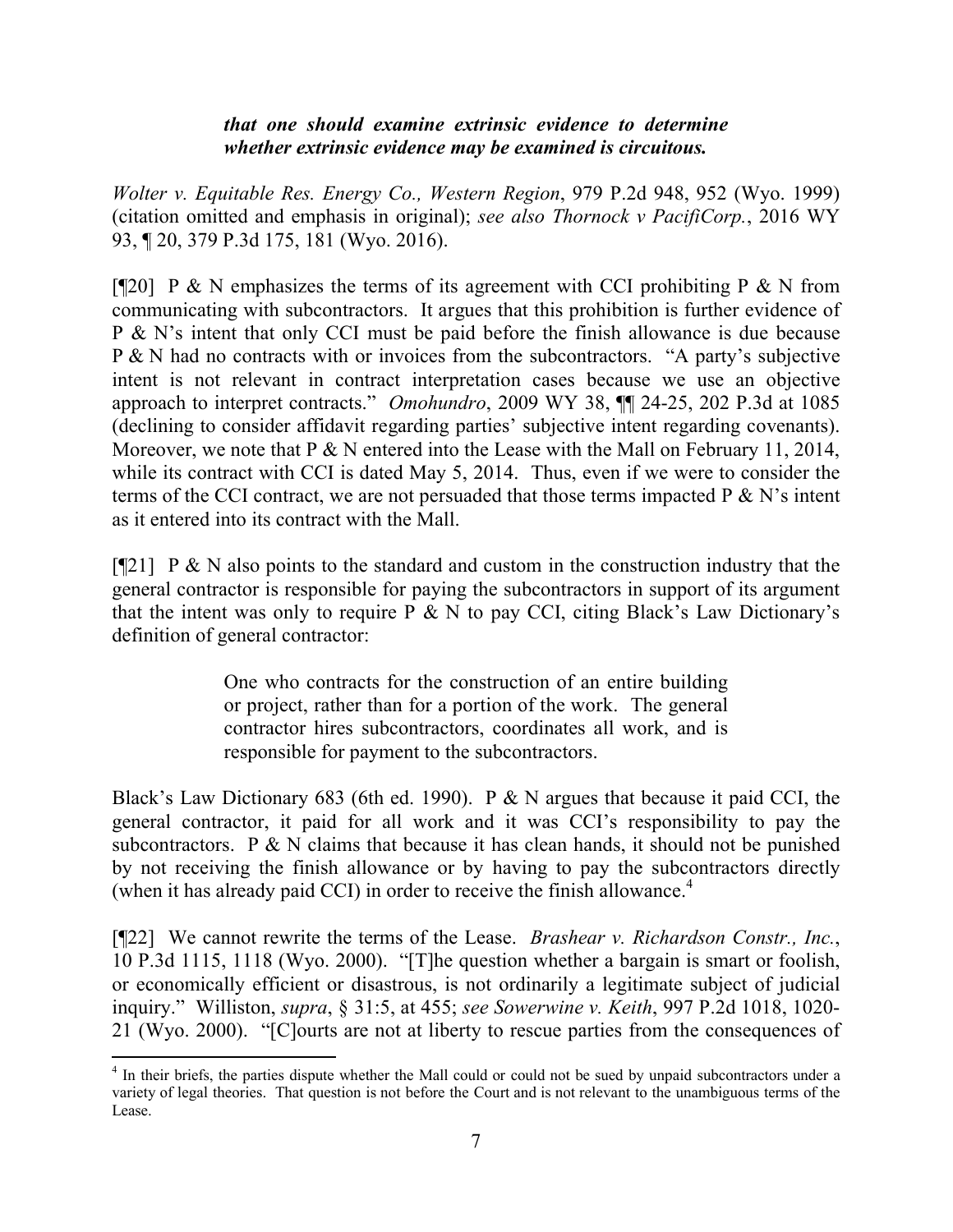# *that one should examine extrinsic evidence to determine whether extrinsic evidence may be examined is circuitous.*

*Wolter v. Equitable Res. Energy Co., Western Region*, 979 P.2d 948, 952 (Wyo. 1999) (citation omitted and emphasis in original); *see also Thornock v PacifiCorp.*, 2016 WY 93, ¶ 20, 379 P.3d 175, 181 (Wyo. 2016).

[ $[$ [20] P & N emphasizes the terms of its agreement with CCI prohibiting P & N from communicating with subcontractors. It argues that this prohibition is further evidence of P & N's intent that only CCI must be paid before the finish allowance is due because P & N had no contracts with or invoices from the subcontractors. "A party's subjective intent is not relevant in contract interpretation cases because we use an objective approach to interpret contracts." *Omohundro*, 2009 WY 38, ¶¶ 24-25, 202 P.3d at 1085 (declining to consider affidavit regarding parties' subjective intent regarding covenants). Moreover, we note that P & N entered into the Lease with the Mall on February 11, 2014, while its contract with CCI is dated May 5, 2014. Thus, even if we were to consider the terms of the CCI contract, we are not persuaded that those terms impacted  $P \& N$ 's intent as it entered into its contract with the Mall.

[ $[21]$  P & N also points to the standard and custom in the construction industry that the general contractor is responsible for paying the subcontractors in support of its argument that the intent was only to require  $\overline{P} \& N$  to pay CCI, citing Black's Law Dictionary's definition of general contractor:

> One who contracts for the construction of an entire building or project, rather than for a portion of the work. The general contractor hires subcontractors, coordinates all work, and is responsible for payment to the subcontractors.

Black's Law Dictionary 683 (6th ed. 1990). P & N argues that because it paid CCI, the general contractor, it paid for all work and it was CCI's responsibility to pay the subcontractors. P  $\&$  N claims that because it has clean hands, it should not be punished by not receiving the finish allowance or by having to pay the subcontractors directly (when it has already paid CCI) in order to receive the finish allowance.<sup>4</sup>

[¶22] We cannot rewrite the terms of the Lease. *Brashear v. Richardson Constr., Inc.*, 10 P.3d 1115, 1118 (Wyo. 2000). "[T]he question whether a bargain is smart or foolish, or economically efficient or disastrous, is not ordinarily a legitimate subject of judicial inquiry." Williston, *supra*, § 31:5, at 455; *see Sowerwine v. Keith*, 997 P.2d 1018, 1020- 21 (Wyo. 2000). "[C]ourts are not at liberty to rescue parties from the consequences of

 <sup>4</sup> In their briefs, the parties dispute whether the Mall could or could not be sued by unpaid subcontractors under a variety of legal theories. That question is not before the Court and is not relevant to the unambiguous terms of the Lease.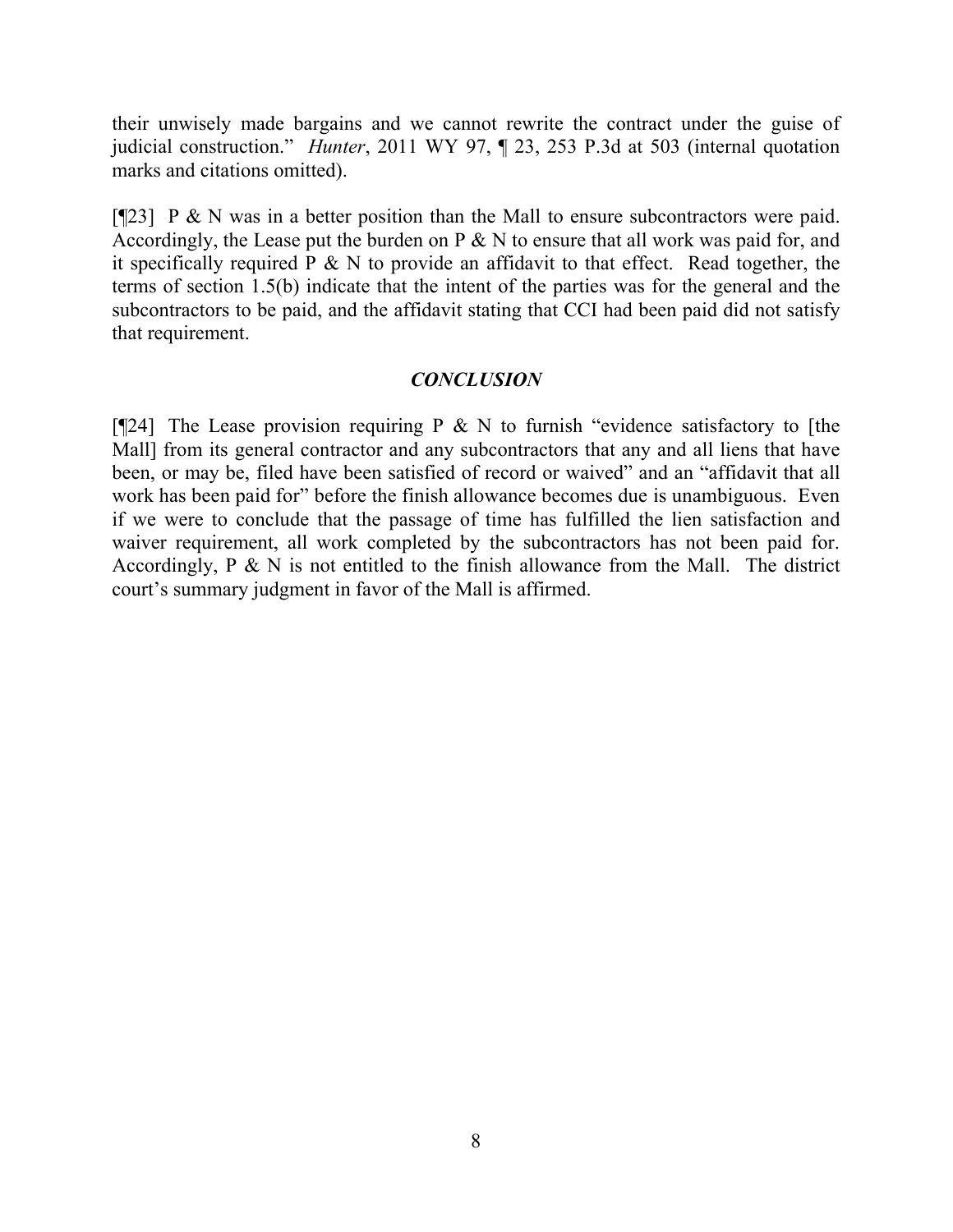their unwisely made bargains and we cannot rewrite the contract under the guise of judicial construction." *Hunter*, 2011 WY 97, ¶ 23, 253 P.3d at 503 (internal quotation marks and citations omitted).

[ $[$ [23] P & N was in a better position than the Mall to ensure subcontractors were paid. Accordingly, the Lease put the burden on  $P \& N$  to ensure that all work was paid for, and it specifically required  $P \& N$  to provide an affidavit to that effect. Read together, the terms of section 1.5(b) indicate that the intent of the parties was for the general and the subcontractors to be paid, and the affidavit stating that CCI had been paid did not satisfy that requirement.

# *CONCLUSION*

[ $[24]$ ] The Lease provision requiring P & N to furnish "evidence satisfactory to [the Mall] from its general contractor and any subcontractors that any and all liens that have been, or may be, filed have been satisfied of record or waived" and an "affidavit that all work has been paid for" before the finish allowance becomes due is unambiguous. Even if we were to conclude that the passage of time has fulfilled the lien satisfaction and waiver requirement, all work completed by the subcontractors has not been paid for. Accordingly,  $P \& N$  is not entitled to the finish allowance from the Mall. The district court's summary judgment in favor of the Mall is affirmed.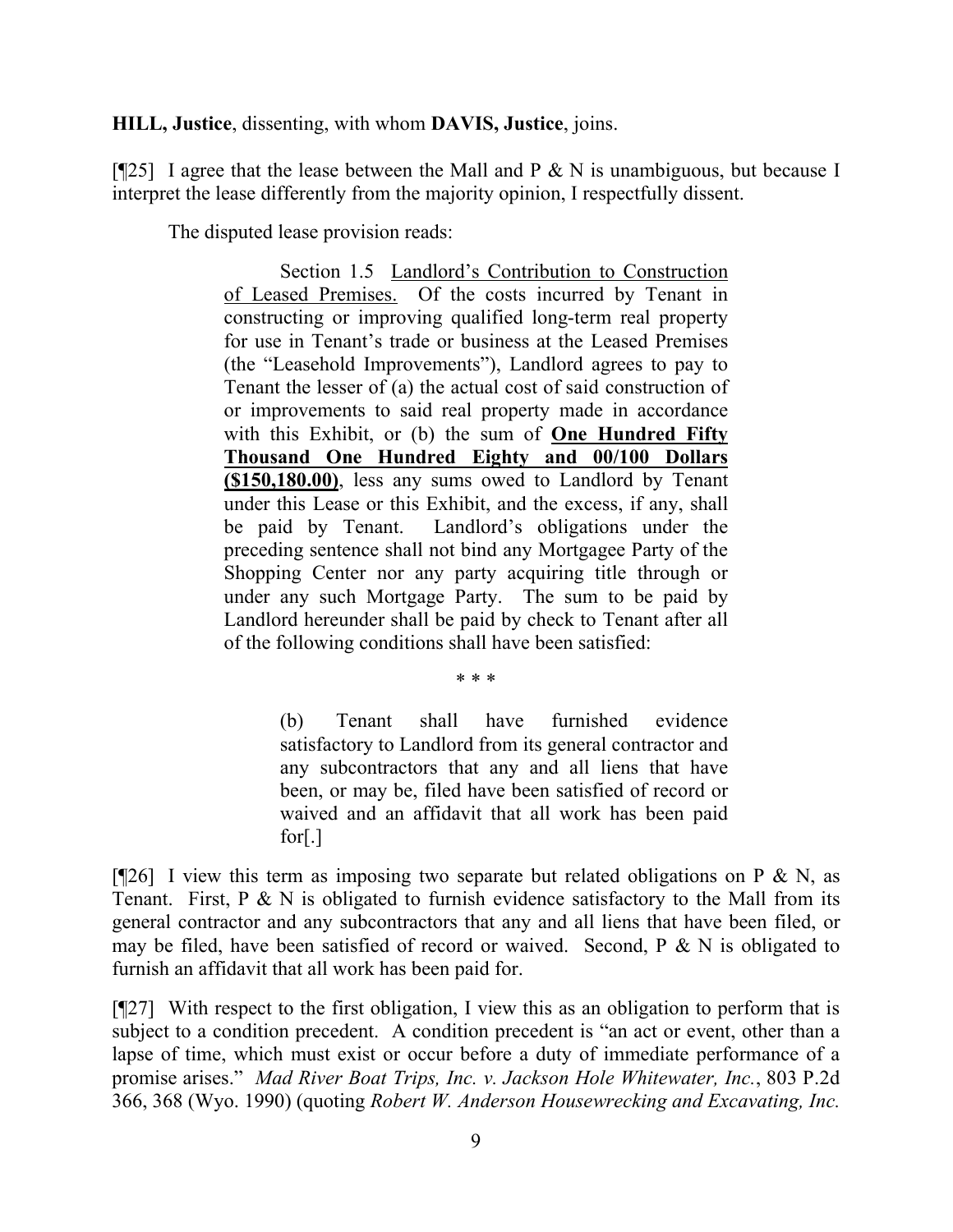**HILL, Justice**, dissenting, with whom **DAVIS, Justice**, joins.

[ $[125]$ ] I agree that the lease between the Mall and P & N is unambiguous, but because I interpret the lease differently from the majority opinion, I respectfully dissent.

The disputed lease provision reads:

Section 1.5 Landlord's Contribution to Construction of Leased Premises. Of the costs incurred by Tenant in constructing or improving qualified long-term real property for use in Tenant's trade or business at the Leased Premises (the "Leasehold Improvements"), Landlord agrees to pay to Tenant the lesser of (a) the actual cost of said construction of or improvements to said real property made in accordance with this Exhibit, or (b) the sum of **One Hundred Fifty Thousand One Hundred Eighty and 00/100 Dollars (\$150,180.00)**, less any sums owed to Landlord by Tenant under this Lease or this Exhibit, and the excess, if any, shall be paid by Tenant. Landlord's obligations under the preceding sentence shall not bind any Mortgagee Party of the Shopping Center nor any party acquiring title through or under any such Mortgage Party. The sum to be paid by Landlord hereunder shall be paid by check to Tenant after all of the following conditions shall have been satisfied:

\* \* \*

(b) Tenant shall have furnished evidence satisfactory to Landlord from its general contractor and any subcontractors that any and all liens that have been, or may be, filed have been satisfied of record or waived and an affidavit that all work has been paid for[.]

[ $[26]$ ] I view this term as imposing two separate but related obligations on P & N, as Tenant. First,  $P \& N$  is obligated to furnish evidence satisfactory to the Mall from its general contractor and any subcontractors that any and all liens that have been filed, or may be filed, have been satisfied of record or waived. Second,  $P \& N$  is obligated to furnish an affidavit that all work has been paid for.

[¶27] With respect to the first obligation, I view this as an obligation to perform that is subject to a condition precedent. A condition precedent is "an act or event, other than a lapse of time, which must exist or occur before a duty of immediate performance of a promise arises." *Mad River Boat Trips, Inc. v. Jackson Hole Whitewater, Inc.*, 803 P.2d 366, 368 (Wyo. 1990) (quoting *Robert W. Anderson Housewrecking and Excavating, Inc.*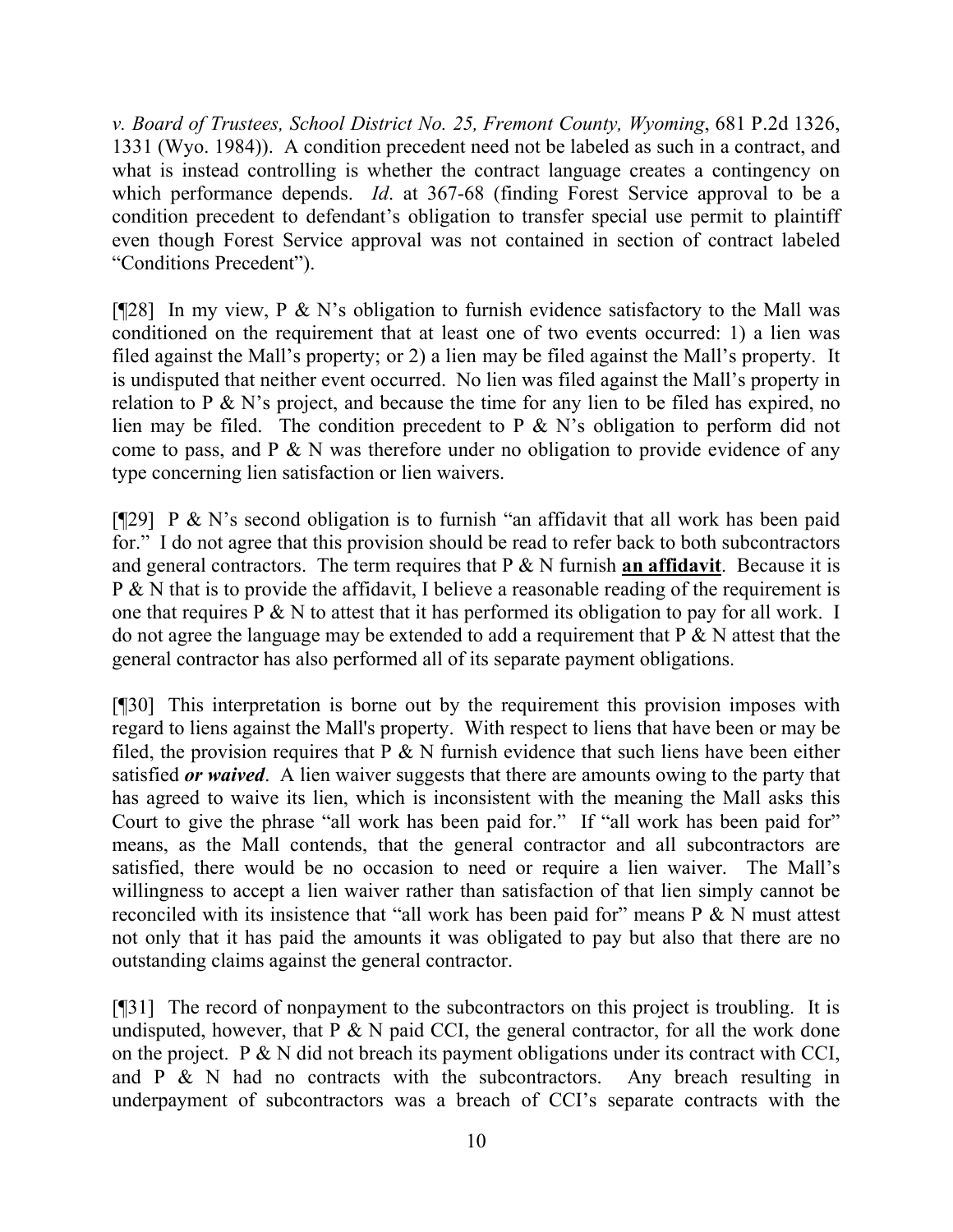*v. Board of Trustees, School District No. 25, Fremont County, Wyoming*, 681 P.2d 1326, 1331 (Wyo. 1984)). A condition precedent need not be labeled as such in a contract, and what is instead controlling is whether the contract language creates a contingency on which performance depends. *Id*. at 367-68 (finding Forest Service approval to be a condition precedent to defendant's obligation to transfer special use permit to plaintiff even though Forest Service approval was not contained in section of contract labeled "Conditions Precedent").

[ $[28]$ ] In my view, P & N's obligation to furnish evidence satisfactory to the Mall was conditioned on the requirement that at least one of two events occurred: 1) a lien was filed against the Mall's property; or 2) a lien may be filed against the Mall's property. It is undisputed that neither event occurred. No lien was filed against the Mall's property in relation to P  $\&$  N's project, and because the time for any lien to be filed has expired, no lien may be filed. The condition precedent to P & N's obligation to perform did not come to pass, and  $P \& N$  was therefore under no obligation to provide evidence of any type concerning lien satisfaction or lien waivers.

[ $[$ [29] P & N's second obligation is to furnish "an affidavit that all work has been paid for." I do not agree that this provision should be read to refer back to both subcontractors and general contractors. The term requires that P & N furnish **an affidavit**. Because it is P & N that is to provide the affidavit, I believe a reasonable reading of the requirement is one that requires P  $\&$  N to attest that it has performed its obligation to pay for all work. I do not agree the language may be extended to add a requirement that  $P \& N$  attest that the general contractor has also performed all of its separate payment obligations.

[¶30] This interpretation is borne out by the requirement this provision imposes with regard to liens against the Mall's property. With respect to liens that have been or may be filed, the provision requires that  $P \& N$  furnish evidence that such liens have been either satisfied *or waived*. A lien waiver suggests that there are amounts owing to the party that has agreed to waive its lien, which is inconsistent with the meaning the Mall asks this Court to give the phrase "all work has been paid for." If "all work has been paid for" means, as the Mall contends, that the general contractor and all subcontractors are satisfied, there would be no occasion to need or require a lien waiver. The Mall's willingness to accept a lien waiver rather than satisfaction of that lien simply cannot be reconciled with its insistence that "all work has been paid for" means  $P \& N$  must attest not only that it has paid the amounts it was obligated to pay but also that there are no outstanding claims against the general contractor.

[¶31] The record of nonpayment to the subcontractors on this project is troubling. It is undisputed, however, that  $P \& N$  paid CCI, the general contractor, for all the work done on the project. P  $\& N$  did not breach its payment obligations under its contract with CCI, and  $P \& N$  had no contracts with the subcontractors. Any breach resulting in underpayment of subcontractors was a breach of CCI's separate contracts with the